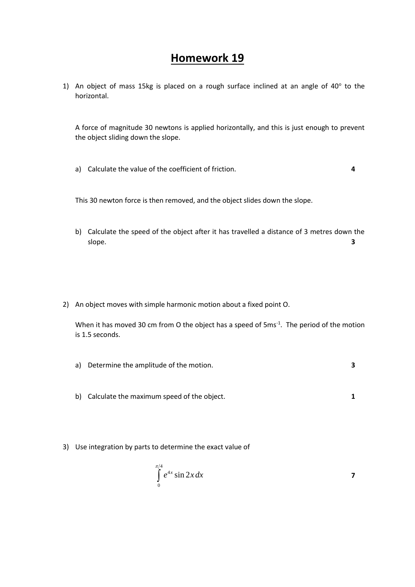## **Homework 19**

1) An object of mass 15kg is placed on a rough surface inclined at an angle of  $40^{\circ}$  to the horizontal.

A force of magnitude 30 newtons is applied horizontally, and this is just enough to prevent the object sliding down the slope.

a) Calculate the value of the coefficient of friction. **4**

This 30 newton force is then removed, and the object slides down the slope.

- b) Calculate the speed of the object after it has travelled a distance of 3 metres down the slope. **3**
- 2) An object moves with simple harmonic motion about a fixed point O.

When it has moved 30 cm from O the object has a speed of  $5 \text{ms}^{-1}$ . The period of the motion is 1.5 seconds.

- a) Determine the amplitude of the motion. **3**
- b) Calculate the maximum speed of the object. **1**
- 3) Use integration by parts to determine the exact value of

$$
\int_{0}^{\pi/4} e^{4x} \sin 2x \, dx
$$